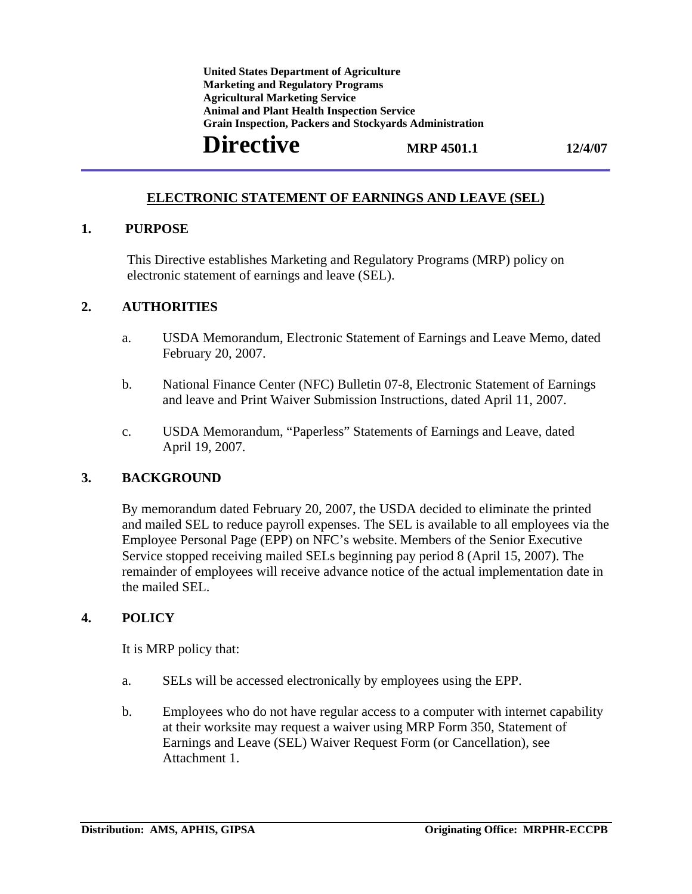**Marketing and Regulatory Programs Grain Inspection, Packers and Stockyards Administration United States Department of Agriculture Agricultural Marketing Service Animal and Plant Health Inspection Service** 

# **Directive** MRP 4501.1 12/4/07

#### **ELECTRONIC STATEMENT OF EARNINGS AND LEAVE (SEL)**

#### **1. PURPOSE**

This Directive establishes Marketing and Regulatory Programs (MRP) policy on electronic statement of earnings and leave (SEL).

#### **2. AUTHORITIES**

- a. USDA Memorandum, Electronic Statement of Earnings and Leave Memo, dated February 20, 2007.
- b. National Finance Center (NFC) Bulletin 07-8, Electronic Statement of Earnings and leave and Print Waiver Submission Instructions, dated April 11, 2007.
- c. USDA Memorandum, "Paperless" Statements of Earnings and Leave, dated April 19, 2007.

#### **3. BACKGROUND**

By memorandum dated February 20, 2007, the USDA decided to eliminate the printed and mailed SEL to reduce payroll expenses. The SEL is available to all employees via the Employee Personal Page (EPP) on NFC's website. Members of the Senior Executive Service stopped receiving mailed SELs beginning pay period 8 (April 15, 2007). The remainder of employees will receive advance notice of the actual implementation date in the mailed SEL.

#### **4. POLICY**

It is MRP policy that:

- a. SELs will be accessed electronically by employees using the EPP.
- b. Employees who do not have regular access to a computer with internet capability at their worksite may request a waiver using MRP Form 350, Statement of Earnings and Leave (SEL) Waiver Request Form (or Cancellation), see Attachment 1.